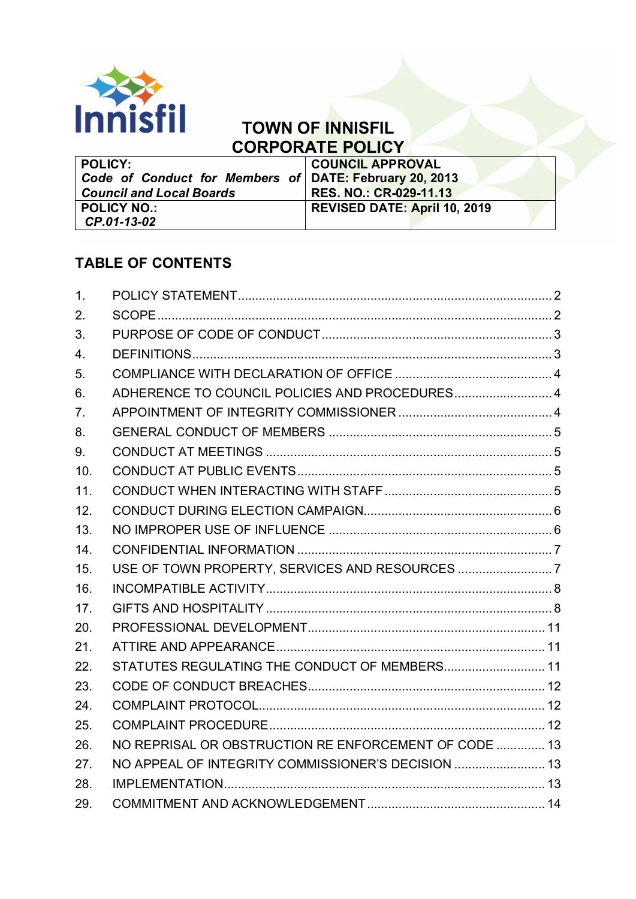

# **TOWN OF INNISFIL CORPORATE POLICY**

| <b>POLICY:</b>                                         | <b>COUNCIL APPROVAL</b>             |  |
|--------------------------------------------------------|-------------------------------------|--|
| Code of Conduct for Members of DATE: February 20, 2013 |                                     |  |
| <b>Council and Local Boards</b>                        | <b>RES. NO.: CR-029-11.13</b>       |  |
| <b>POLICY NO.:</b>                                     | <b>REVISED DATE: April 10, 2019</b> |  |
| CP.01-13-02                                            |                                     |  |

# **TABLE OF CONTENTS**

| 1.             |                                                       |  |
|----------------|-------------------------------------------------------|--|
| 2.             |                                                       |  |
| 3.             |                                                       |  |
| 4.             |                                                       |  |
| 5.             |                                                       |  |
| 6.             | ADHERENCE TO COUNCIL POLICIES AND PROCEDURES 4        |  |
| 7 <sub>1</sub> |                                                       |  |
| 8.             |                                                       |  |
| 9.             |                                                       |  |
| 10.            |                                                       |  |
| 11.            |                                                       |  |
| 12.            |                                                       |  |
| 13.            |                                                       |  |
| 14.            |                                                       |  |
| 15.            | USE OF TOWN PROPERTY, SERVICES AND RESOURCES 7        |  |
| 16.            |                                                       |  |
| 17.            |                                                       |  |
| 20.            |                                                       |  |
| 21.            |                                                       |  |
| 22.            |                                                       |  |
| 23.            |                                                       |  |
| 24.            |                                                       |  |
| 25.            |                                                       |  |
| 26.            | NO REPRISAL OR OBSTRUCTION RE ENFORCEMENT OF CODE  13 |  |
| 27.            | NO APPEAL OF INTEGRITY COMMISSIONER'S DECISION  13    |  |
| 28.            |                                                       |  |
| 29.            |                                                       |  |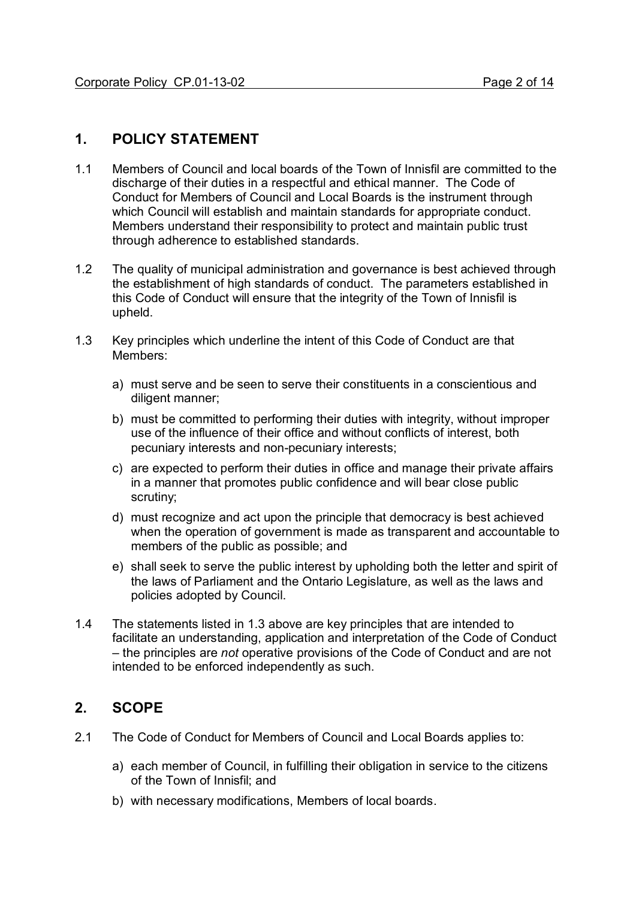### **1. POLICY STATEMENT**

- 1.1 Members of Council and local boards of the Town of Innisfil are committed to the discharge of their duties in a respectful and ethical manner. The Code of Conduct for Members of Council and Local Boards is the instrument through which Council will establish and maintain standards for appropriate conduct. Members understand their responsibility to protect and maintain public trust through adherence to established standards.
- 1.2 The quality of municipal administration and governance is best achieved through the establishment of high standards of conduct. The parameters established in this Code of Conduct will ensure that the integrity of the Town of Innisfil is upheld.
- 1.3 Key principles which underline the intent of this Code of Conduct are that Members:
	- a) must serve and be seen to serve their constituents in a conscientious and diligent manner;
	- b) must be committed to performing their duties with integrity, without improper use of the influence of their office and without conflicts of interest, both pecuniary interests and non-pecuniary interests;
	- c) are expected to perform their duties in office and manage their private affairs in a manner that promotes public confidence and will bear close public scrutiny;
	- d) must recognize and act upon the principle that democracy is best achieved when the operation of government is made as transparent and accountable to members of the public as possible; and
	- e) shall seek to serve the public interest by upholding both the letter and spirit of the laws of Parliament and the Ontario Legislature, as well as the laws and policies adopted by Council.
- 1.4 The statements listed in 1.3 above are key principles that are intended to facilitate an understanding, application and interpretation of the Code of Conduct – the principles are *not* operative provisions of the Code of Conduct and are not intended to be enforced independently as such.

## **2. SCOPE**

- 2.1 The Code of Conduct for Members of Council and Local Boards applies to:
	- a) each member of Council, in fulfilling their obligation in service to the citizens of the Town of Innisfil; and
	- b) with necessary modifications, Members of local boards.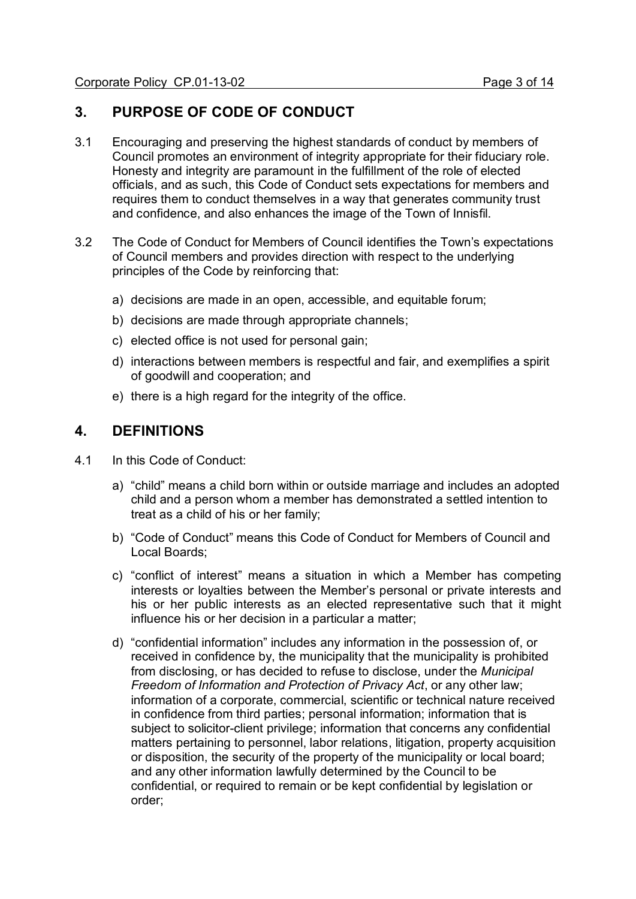## **3. PURPOSE OF CODE OF CONDUCT**

- 3.1 Encouraging and preserving the highest standards of conduct by members of Council promotes an environment of integrity appropriate for their fiduciary role. Honesty and integrity are paramount in the fulfillment of the role of elected officials, and as such, this Code of Conduct sets expectations for members and requires them to conduct themselves in a way that generates community trust and confidence, and also enhances the image of the Town of Innisfil.
- 3.2 The Code of Conduct for Members of Council identifies the Town's expectations of Council members and provides direction with respect to the underlying principles of the Code by reinforcing that:
	- a) decisions are made in an open, accessible, and equitable forum;
	- b) decisions are made through appropriate channels;
	- c) elected office is not used for personal gain;
	- d) interactions between members is respectful and fair, and exemplifies a spirit of goodwill and cooperation; and
	- e) there is a high regard for the integrity of the office.

### **4. DEFINITIONS**

- 4.1 In this Code of Conduct:
	- a) "child" means a child born within or outside marriage and includes an adopted child and a person whom a member has demonstrated a settled intention to treat as a child of his or her family;
	- b) "Code of Conduct" means this Code of Conduct for Members of Council and Local Boards;
	- c) "conflict of interest" means a situation in which a Member has competing interests or loyalties between the Member's personal or private interests and his or her public interests as an elected representative such that it might influence his or her decision in a particular a matter;
	- d) "confidential information" includes any information in the possession of, or received in confidence by, the municipality that the municipality is prohibited from disclosing, or has decided to refuse to disclose, under the *Municipal Freedom of Information and Protection of Privacy Act*, or any other law; information of a corporate, commercial, scientific or technical nature received in confidence from third parties; personal information; information that is subject to solicitor-client privilege; information that concerns any confidential matters pertaining to personnel, labor relations, litigation, property acquisition or disposition, the security of the property of the municipality or local board; and any other information lawfully determined by the Council to be confidential, or required to remain or be kept confidential by legislation or order;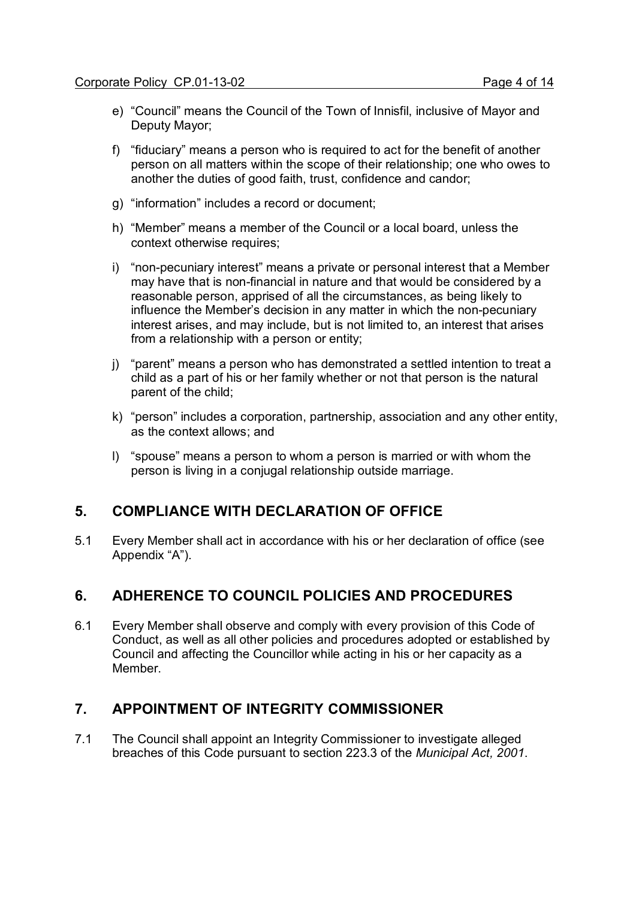- e) "Council" means the Council of the Town of Innisfil, inclusive of Mayor and Deputy Mayor;
- f) "fiduciary" means a person who is required to act for the benefit of another person on all matters within the scope of their relationship; one who owes to another the duties of good faith, trust, confidence and candor;
- g) "information" includes a record or document;
- h) "Member" means a member of the Council or a local board, unless the context otherwise requires;
- i) "non-pecuniary interest" means a private or personal interest that a Member may have that is non-financial in nature and that would be considered by a reasonable person, apprised of all the circumstances, as being likely to influence the Member's decision in any matter in which the non-pecuniary interest arises, and may include, but is not limited to, an interest that arises from a relationship with a person or entity;
- j) "parent" means a person who has demonstrated a settled intention to treat a child as a part of his or her family whether or not that person is the natural parent of the child;
- k) "person" includes a corporation, partnership, association and any other entity, as the context allows; and
- l) "spouse" means a person to whom a person is married or with whom the person is living in a conjugal relationship outside marriage.

#### **5. COMPLIANCE WITH DECLARATION OF OFFICE**

5.1 Every Member shall act in accordance with his or her declaration of office (see Appendix "A").

#### **6. ADHERENCE TO COUNCIL POLICIES AND PROCEDURES**

6.1 Every Member shall observe and comply with every provision of this Code of Conduct, as well as all other policies and procedures adopted or established by Council and affecting the Councillor while acting in his or her capacity as a Member.

#### **7. APPOINTMENT OF INTEGRITY COMMISSIONER**

7.1 The Council shall appoint an Integrity Commissioner to investigate alleged breaches of this Code pursuant to section 223.3 of the *Municipal Act, 2001*.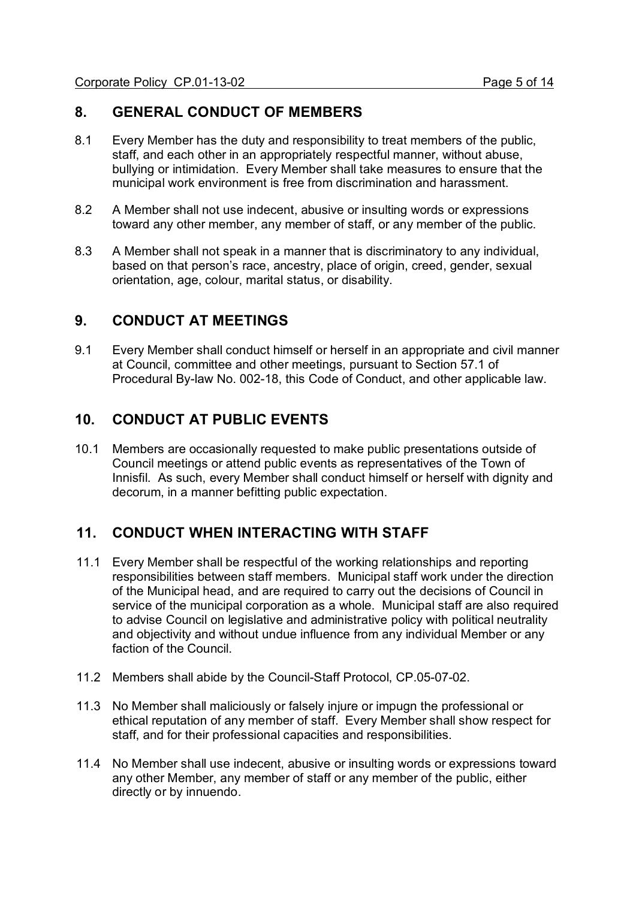## **8. GENERAL CONDUCT OF MEMBERS**

- 8.1 Every Member has the duty and responsibility to treat members of the public, staff, and each other in an appropriately respectful manner, without abuse, bullying or intimidation. Every Member shall take measures to ensure that the municipal work environment is free from discrimination and harassment.
- 8.2 A Member shall not use indecent, abusive or insulting words or expressions toward any other member, any member of staff, or any member of the public.
- 8.3 A Member shall not speak in a manner that is discriminatory to any individual, based on that person's race, ancestry, place of origin, creed, gender, sexual orientation, age, colour, marital status, or disability.

### **9. CONDUCT AT MEETINGS**

9.1 Every Member shall conduct himself or herself in an appropriate and civil manner at Council, committee and other meetings, pursuant to Section 57.1 of Procedural By-law No. 002-18, this Code of Conduct, and other applicable law.

## **10. CONDUCT AT PUBLIC EVENTS**

10.1 Members are occasionally requested to make public presentations outside of Council meetings or attend public events as representatives of the Town of Innisfil. As such, every Member shall conduct himself or herself with dignity and decorum, in a manner befitting public expectation.

## **11. CONDUCT WHEN INTERACTING WITH STAFF**

- 11.1 Every Member shall be respectful of the working relationships and reporting responsibilities between staff members. Municipal staff work under the direction of the Municipal head, and are required to carry out the decisions of Council in service of the municipal corporation as a whole. Municipal staff are also required to advise Council on legislative and administrative policy with political neutrality and objectivity and without undue influence from any individual Member or any faction of the Council.
- 11.2 Members shall abide by the Council-Staff Protocol, CP.05-07-02.
- 11.3 No Member shall maliciously or falsely injure or impugn the professional or ethical reputation of any member of staff. Every Member shall show respect for staff, and for their professional capacities and responsibilities.
- 11.4 No Member shall use indecent, abusive or insulting words or expressions toward any other Member, any member of staff or any member of the public, either directly or by innuendo.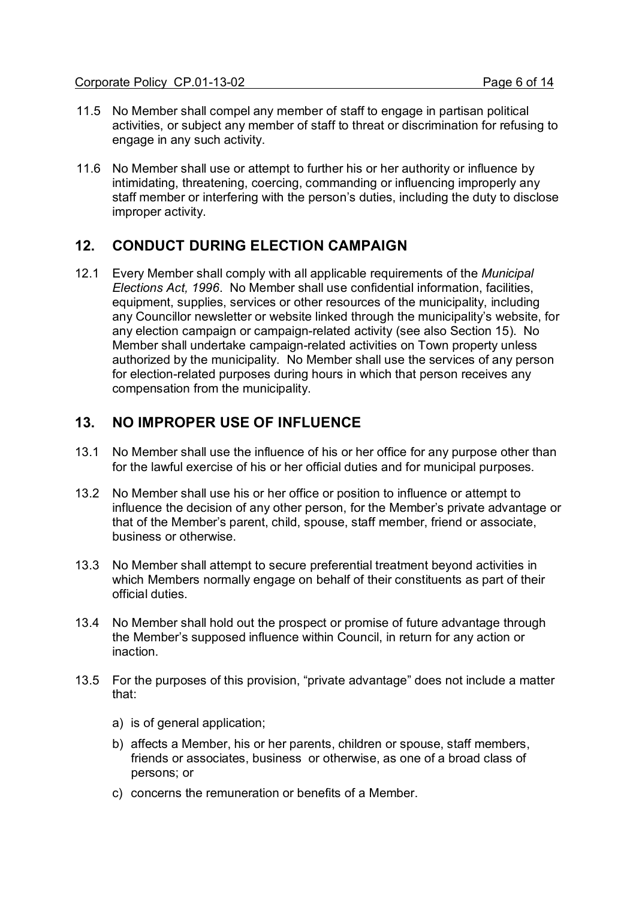- 11.5 No Member shall compel any member of staff to engage in partisan political activities, or subject any member of staff to threat or discrimination for refusing to engage in any such activity.
- 11.6 No Member shall use or attempt to further his or her authority or influence by intimidating, threatening, coercing, commanding or influencing improperly any staff member or interfering with the person's duties, including the duty to disclose improper activity.

## **12. CONDUCT DURING ELECTION CAMPAIGN**

12.1 Every Member shall comply with all applicable requirements of the *Municipal Elections Act, 1996*. No Member shall use confidential information, facilities, equipment, supplies, services or other resources of the municipality, including any Councillor newsletter or website linked through the municipality's website, for any election campaign or campaign-related activity (see also Section 15). No Member shall undertake campaign-related activities on Town property unless authorized by the municipality. No Member shall use the services of any person for election-related purposes during hours in which that person receives any compensation from the municipality.

## **13. NO IMPROPER USE OF INFLUENCE**

- 13.1 No Member shall use the influence of his or her office for any purpose other than for the lawful exercise of his or her official duties and for municipal purposes.
- 13.2 No Member shall use his or her office or position to influence or attempt to influence the decision of any other person, for the Member's private advantage or that of the Member's parent, child, spouse, staff member, friend or associate, business or otherwise.
- 13.3 No Member shall attempt to secure preferential treatment beyond activities in which Members normally engage on behalf of their constituents as part of their official duties.
- 13.4 No Member shall hold out the prospect or promise of future advantage through the Member's supposed influence within Council, in return for any action or inaction.
- 13.5 For the purposes of this provision, "private advantage" does not include a matter that:
	- a) is of general application;
	- b) affects a Member, his or her parents, children or spouse, staff members, friends or associates, business or otherwise, as one of a broad class of persons; or
	- c) concerns the remuneration or benefits of a Member.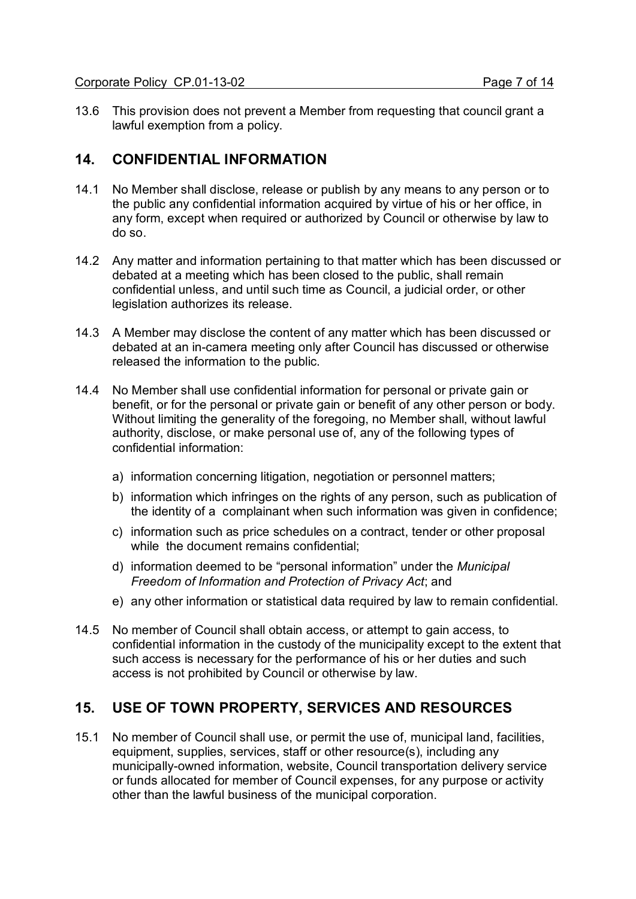13.6 This provision does not prevent a Member from requesting that council grant a lawful exemption from a policy.

### **14. CONFIDENTIAL INFORMATION**

- 14.1 No Member shall disclose, release or publish by any means to any person or to the public any confidential information acquired by virtue of his or her office, in any form, except when required or authorized by Council or otherwise by law to do so.
- 14.2 Any matter and information pertaining to that matter which has been discussed or debated at a meeting which has been closed to the public, shall remain confidential unless, and until such time as Council, a judicial order, or other legislation authorizes its release.
- 14.3 A Member may disclose the content of any matter which has been discussed or debated at an in-camera meeting only after Council has discussed or otherwise released the information to the public.
- 14.4 No Member shall use confidential information for personal or private gain or benefit, or for the personal or private gain or benefit of any other person or body. Without limiting the generality of the foregoing, no Member shall, without lawful authority, disclose, or make personal use of, any of the following types of confidential information:
	- a) information concerning litigation, negotiation or personnel matters;
	- b) information which infringes on the rights of any person, such as publication of the identity of a complainant when such information was given in confidence;
	- c) information such as price schedules on a contract, tender or other proposal while the document remains confidential:
	- d) information deemed to be "personal information" under the *Municipal Freedom of Information and Protection of Privacy Act*; and
	- e) any other information or statistical data required by law to remain confidential.
- 14.5 No member of Council shall obtain access, or attempt to gain access, to confidential information in the custody of the municipality except to the extent that such access is necessary for the performance of his or her duties and such access is not prohibited by Council or otherwise by law.

## **15. USE OF TOWN PROPERTY, SERVICES AND RESOURCES**

15.1 No member of Council shall use, or permit the use of, municipal land, facilities, equipment, supplies, services, staff or other resource(s), including any municipally-owned information, website, Council transportation delivery service or funds allocated for member of Council expenses, for any purpose or activity other than the lawful business of the municipal corporation.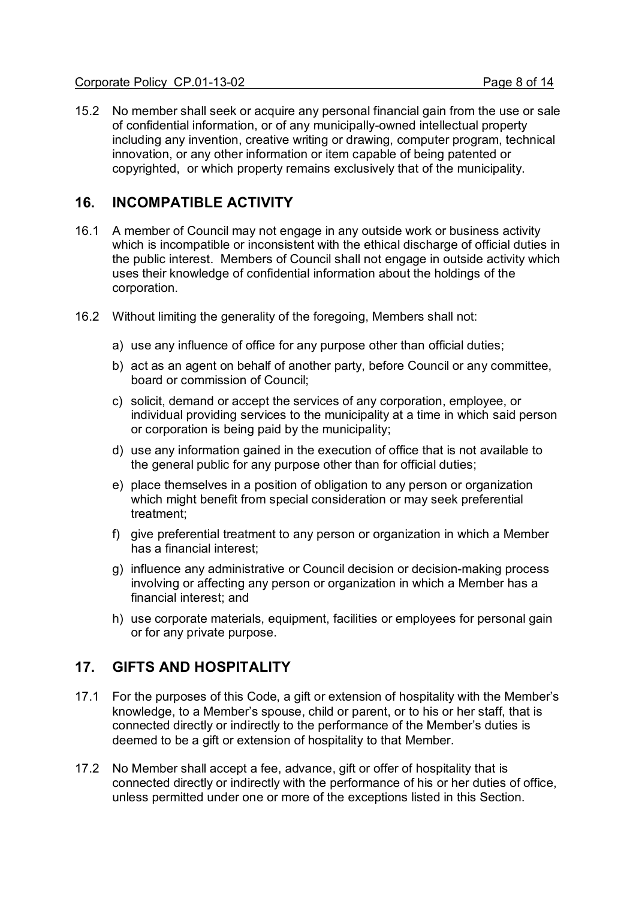## **16. INCOMPATIBLE ACTIVITY**

- 16.1 A member of Council may not engage in any outside work or business activity which is incompatible or inconsistent with the ethical discharge of official duties in the public interest. Members of Council shall not engage in outside activity which uses their knowledge of confidential information about the holdings of the corporation.
- 16.2 Without limiting the generality of the foregoing, Members shall not:
	- a) use any influence of office for any purpose other than official duties;
	- b) act as an agent on behalf of another party, before Council or any committee, board or commission of Council;
	- c) solicit, demand or accept the services of any corporation, employee, or individual providing services to the municipality at a time in which said person or corporation is being paid by the municipality;
	- d) use any information gained in the execution of office that is not available to the general public for any purpose other than for official duties;
	- e) place themselves in a position of obligation to any person or organization which might benefit from special consideration or may seek preferential treatment;
	- f) give preferential treatment to any person or organization in which a Member has a financial interest;
	- g) influence any administrative or Council decision or decision-making process involving or affecting any person or organization in which a Member has a financial interest; and
	- h) use corporate materials, equipment, facilities or employees for personal gain or for any private purpose.

## **17. GIFTS AND HOSPITALITY**

- 17.1 For the purposes of this Code, a gift or extension of hospitality with the Member's knowledge, to a Member's spouse, child or parent, or to his or her staff, that is connected directly or indirectly to the performance of the Member's duties is deemed to be a gift or extension of hospitality to that Member.
- 17.2 No Member shall accept a fee, advance, gift or offer of hospitality that is connected directly or indirectly with the performance of his or her duties of office, unless permitted under one or more of the exceptions listed in this Section.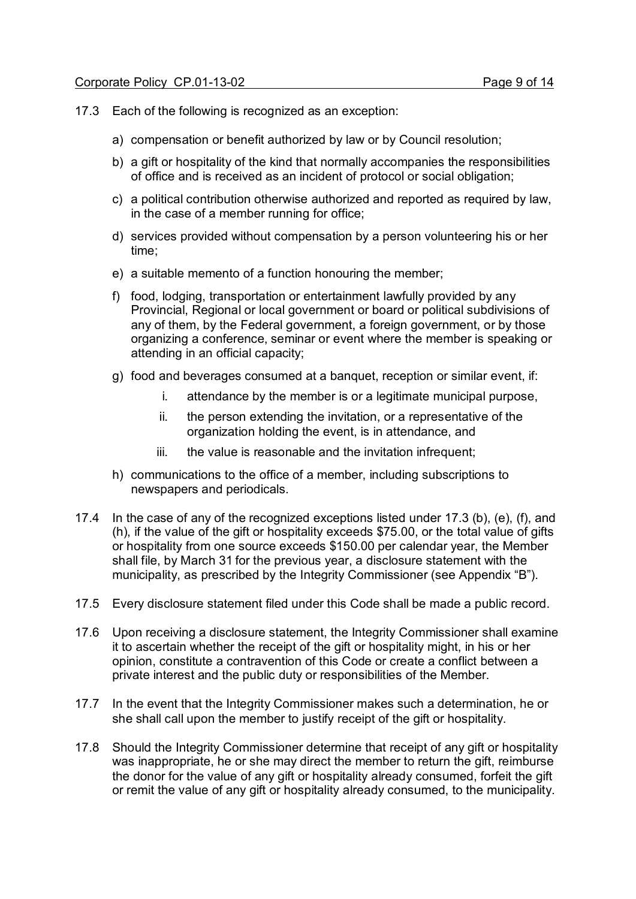- 17.3 Each of the following is recognized as an exception:
	- a) compensation or benefit authorized by law or by Council resolution;
	- b) a gift or hospitality of the kind that normally accompanies the responsibilities of office and is received as an incident of protocol or social obligation;
	- c) a political contribution otherwise authorized and reported as required by law, in the case of a member running for office;
	- d) services provided without compensation by a person volunteering his or her time;
	- e) a suitable memento of a function honouring the member;
	- f) food, lodging, transportation or entertainment lawfully provided by any Provincial, Regional or local government or board or political subdivisions of any of them, by the Federal government, a foreign government, or by those organizing a conference, seminar or event where the member is speaking or attending in an official capacity;
	- g) food and beverages consumed at a banquet, reception or similar event, if:
		- i. attendance by the member is or a legitimate municipal purpose,
		- ii. the person extending the invitation, or a representative of the organization holding the event, is in attendance, and
		- iii. the value is reasonable and the invitation infrequent;
	- h) communications to the office of a member, including subscriptions to newspapers and periodicals.
- 17.4 In the case of any of the recognized exceptions listed under 17.3 (b), (e), (f), and (h), if the value of the gift or hospitality exceeds \$75.00, or the total value of gifts or hospitality from one source exceeds \$150.00 per calendar year, the Member shall file, by March 31 for the previous year, a disclosure statement with the municipality, as prescribed by the Integrity Commissioner (see Appendix "B").
- 17.5 Every disclosure statement filed under this Code shall be made a public record.
- 17.6 Upon receiving a disclosure statement, the Integrity Commissioner shall examine it to ascertain whether the receipt of the gift or hospitality might, in his or her opinion, constitute a contravention of this Code or create a conflict between a private interest and the public duty or responsibilities of the Member.
- 17.7 In the event that the Integrity Commissioner makes such a determination, he or she shall call upon the member to justify receipt of the gift or hospitality.
- 17.8 Should the Integrity Commissioner determine that receipt of any gift or hospitality was inappropriate, he or she may direct the member to return the gift, reimburse the donor for the value of any gift or hospitality already consumed, forfeit the gift or remit the value of any gift or hospitality already consumed, to the municipality.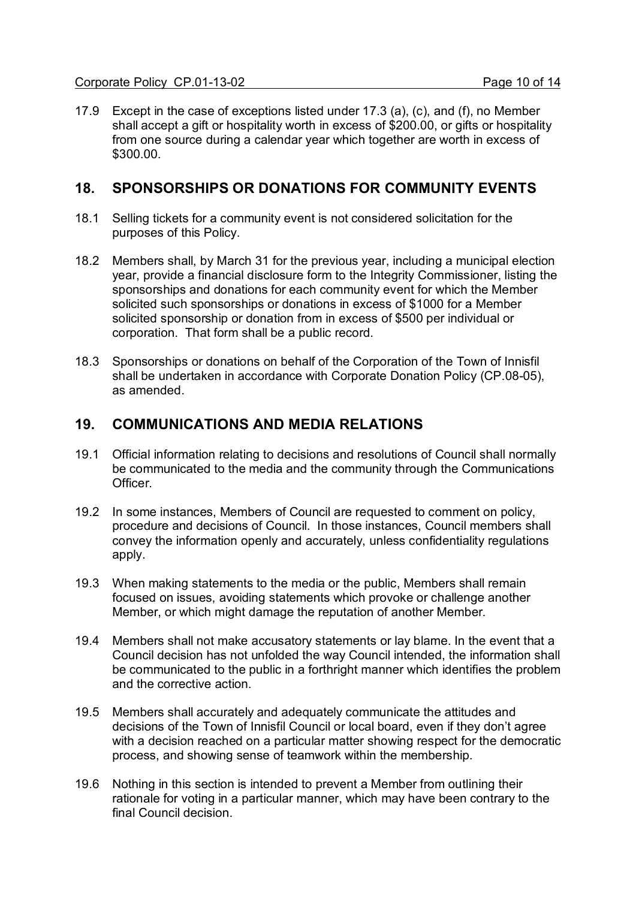17.9 Except in the case of exceptions listed under 17.3 (a), (c), and (f), no Member shall accept a gift or hospitality worth in excess of \$200.00, or gifts or hospitality from one source during a calendar year which together are worth in excess of \$300.00.

#### **18. SPONSORSHIPS OR DONATIONS FOR COMMUNITY EVENTS**

- 18.1 Selling tickets for a community event is not considered solicitation for the purposes of this Policy.
- 18.2 Members shall, by March 31 for the previous year, including a municipal election year, provide a financial disclosure form to the Integrity Commissioner, listing the sponsorships and donations for each community event for which the Member solicited such sponsorships or donations in excess of \$1000 for a Member solicited sponsorship or donation from in excess of \$500 per individual or corporation. That form shall be a public record.
- 18.3 Sponsorships or donations on behalf of the Corporation of the Town of Innisfil shall be undertaken in accordance with Corporate Donation Policy (CP.08-05), as amended.

### **19. COMMUNICATIONS AND MEDIA RELATIONS**

- 19.1 Official information relating to decisions and resolutions of Council shall normally be communicated to the media and the community through the Communications **Officer**
- 19.2 In some instances, Members of Council are requested to comment on policy, procedure and decisions of Council. In those instances, Council members shall convey the information openly and accurately, unless confidentiality regulations apply.
- 19.3 When making statements to the media or the public, Members shall remain focused on issues, avoiding statements which provoke or challenge another Member, or which might damage the reputation of another Member.
- 19.4 Members shall not make accusatory statements or lay blame. In the event that a Council decision has not unfolded the way Council intended, the information shall be communicated to the public in a forthright manner which identifies the problem and the corrective action.
- 19.5 Members shall accurately and adequately communicate the attitudes and decisions of the Town of Innisfil Council or local board, even if they don't agree with a decision reached on a particular matter showing respect for the democratic process, and showing sense of teamwork within the membership.
- 19.6 Nothing in this section is intended to prevent a Member from outlining their rationale for voting in a particular manner, which may have been contrary to the final Council decision.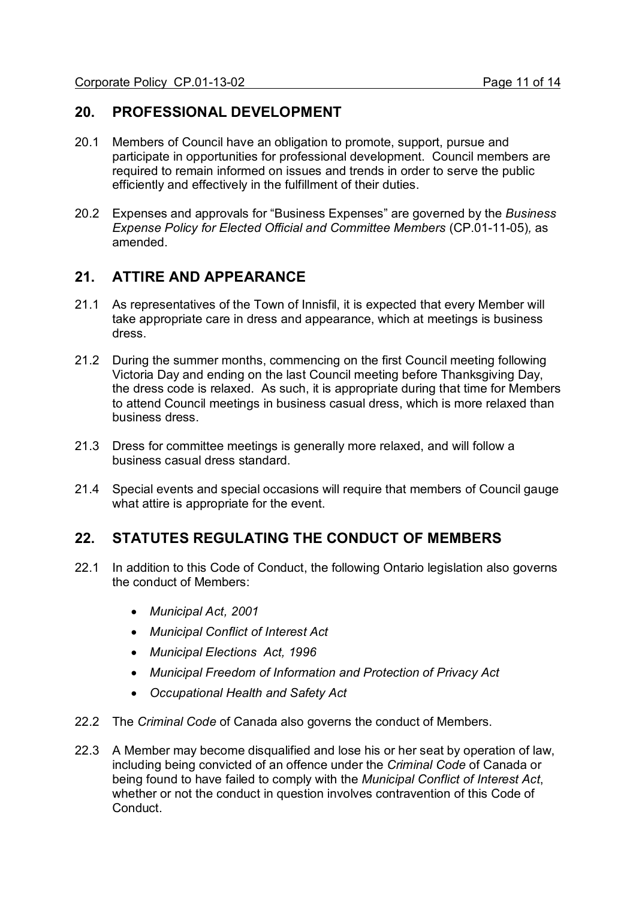### **20. PROFESSIONAL DEVELOPMENT**

- 20.1 Members of Council have an obligation to promote, support, pursue and participate in opportunities for professional development. Council members are required to remain informed on issues and trends in order to serve the public efficiently and effectively in the fulfillment of their duties.
- 20.2 Expenses and approvals for "Business Expenses" are governed by the *Business Expense Policy for Elected Official and Committee Members* (CP.01-11-05)*,* as amended.

## **21. ATTIRE AND APPEARANCE**

- 21.1 As representatives of the Town of Innisfil, it is expected that every Member will take appropriate care in dress and appearance, which at meetings is business dress.
- 21.2 During the summer months, commencing on the first Council meeting following Victoria Day and ending on the last Council meeting before Thanksgiving Day, the dress code is relaxed. As such, it is appropriate during that time for Members to attend Council meetings in business casual dress, which is more relaxed than business dress.
- 21.3 Dress for committee meetings is generally more relaxed, and will follow a business casual dress standard.
- 21.4 Special events and special occasions will require that members of Council gauge what attire is appropriate for the event.

## **22. STATUTES REGULATING THE CONDUCT OF MEMBERS**

- 22.1 In addition to this Code of Conduct, the following Ontario legislation also governs the conduct of Members:
	- · *Municipal Act, 2001*
	- · *Municipal Conflict of Interest Act*
	- · *Municipal Elections Act, 1996*
	- · *Municipal Freedom of Information and Protection of Privacy Act*
	- · *Occupational Health and Safety Act*
- 22.2 The *Criminal Code* of Canada also governs the conduct of Members.
- 22.3 A Member may become disqualified and lose his or her seat by operation of law, including being convicted of an offence under the *Criminal Code* of Canada or being found to have failed to comply with the *Municipal Conflict of Interest Act*, whether or not the conduct in question involves contravention of this Code of Conduct.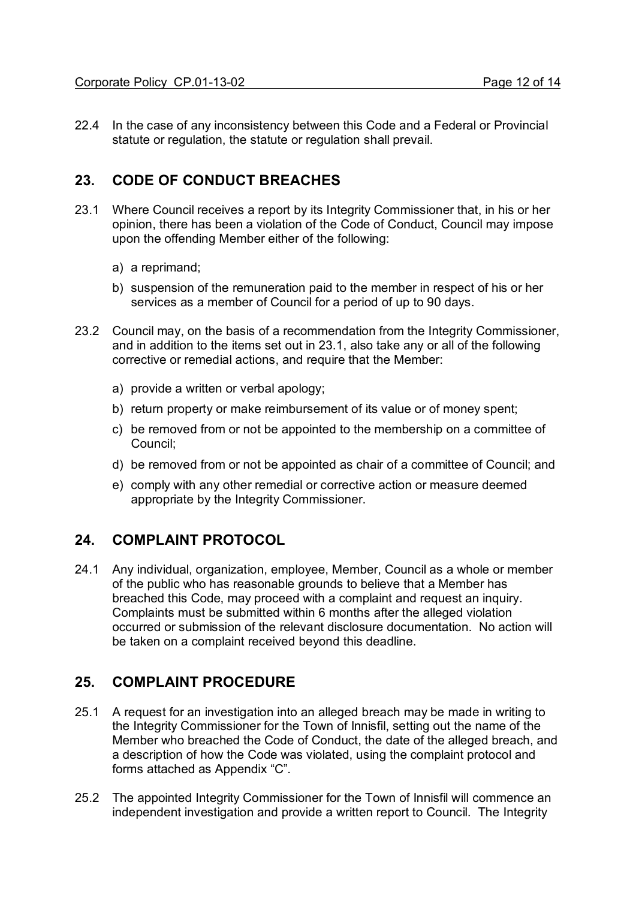22.4 In the case of any inconsistency between this Code and a Federal or Provincial statute or regulation, the statute or regulation shall prevail.

## **23. CODE OF CONDUCT BREACHES**

- 23.1 Where Council receives a report by its Integrity Commissioner that, in his or her opinion, there has been a violation of the Code of Conduct, Council may impose upon the offending Member either of the following:
	- a) a reprimand;
	- b) suspension of the remuneration paid to the member in respect of his or her services as a member of Council for a period of up to 90 days.
- 23.2 Council may, on the basis of a recommendation from the Integrity Commissioner, and in addition to the items set out in 23.1, also take any or all of the following corrective or remedial actions, and require that the Member:
	- a) provide a written or verbal apology;
	- b) return property or make reimbursement of its value or of money spent;
	- c) be removed from or not be appointed to the membership on a committee of Council;
	- d) be removed from or not be appointed as chair of a committee of Council; and
	- e) comply with any other remedial or corrective action or measure deemed appropriate by the Integrity Commissioner.

## **24. COMPLAINT PROTOCOL**

24.1 Any individual, organization, employee, Member, Council as a whole or member of the public who has reasonable grounds to believe that a Member has breached this Code, may proceed with a complaint and request an inquiry. Complaints must be submitted within 6 months after the alleged violation occurred or submission of the relevant disclosure documentation. No action will be taken on a complaint received beyond this deadline.

## **25. COMPLAINT PROCEDURE**

- 25.1 A request for an investigation into an alleged breach may be made in writing to the Integrity Commissioner for the Town of Innisfil, setting out the name of the Member who breached the Code of Conduct, the date of the alleged breach, and a description of how the Code was violated, using the complaint protocol and forms attached as Appendix "C".
- 25.2 The appointed Integrity Commissioner for the Town of Innisfil will commence an independent investigation and provide a written report to Council. The Integrity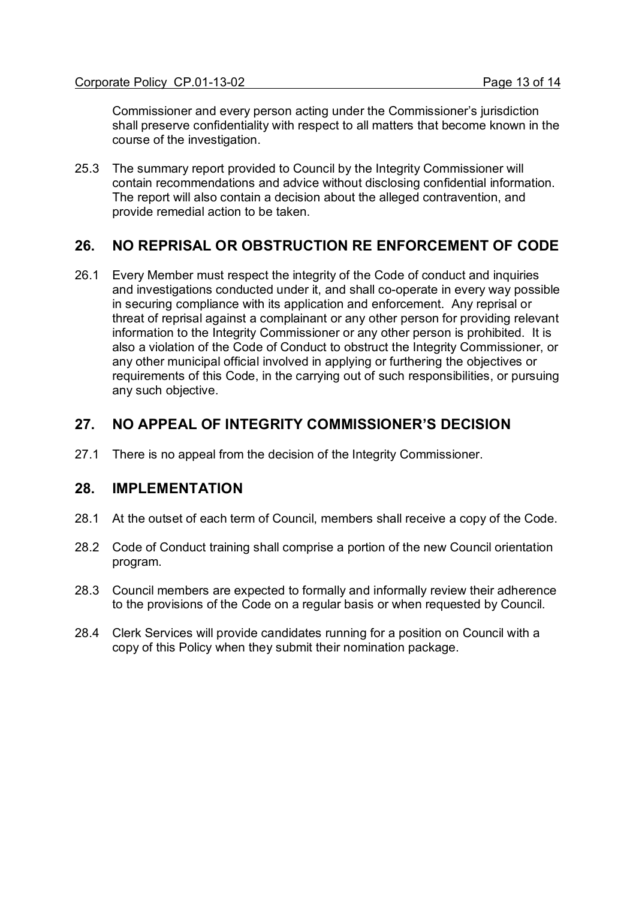Commissioner and every person acting under the Commissioner's jurisdiction shall preserve confidentiality with respect to all matters that become known in the course of the investigation.

25.3 The summary report provided to Council by the Integrity Commissioner will contain recommendations and advice without disclosing confidential information. The report will also contain a decision about the alleged contravention, and provide remedial action to be taken.

## **26. NO REPRISAL OR OBSTRUCTION RE ENFORCEMENT OF CODE**

26.1 Every Member must respect the integrity of the Code of conduct and inquiries and investigations conducted under it, and shall co-operate in every way possible in securing compliance with its application and enforcement. Any reprisal or threat of reprisal against a complainant or any other person for providing relevant information to the Integrity Commissioner or any other person is prohibited. It is also a violation of the Code of Conduct to obstruct the Integrity Commissioner, or any other municipal official involved in applying or furthering the objectives or requirements of this Code, in the carrying out of such responsibilities, or pursuing any such objective.

## **27. NO APPEAL OF INTEGRITY COMMISSIONER'S DECISION**

27.1 There is no appeal from the decision of the Integrity Commissioner.

#### **28. IMPLEMENTATION**

- 28.1 At the outset of each term of Council, members shall receive a copy of the Code.
- 28.2 Code of Conduct training shall comprise a portion of the new Council orientation program.
- 28.3 Council members are expected to formally and informally review their adherence to the provisions of the Code on a regular basis or when requested by Council.
- 28.4 Clerk Services will provide candidates running for a position on Council with a copy of this Policy when they submit their nomination package.